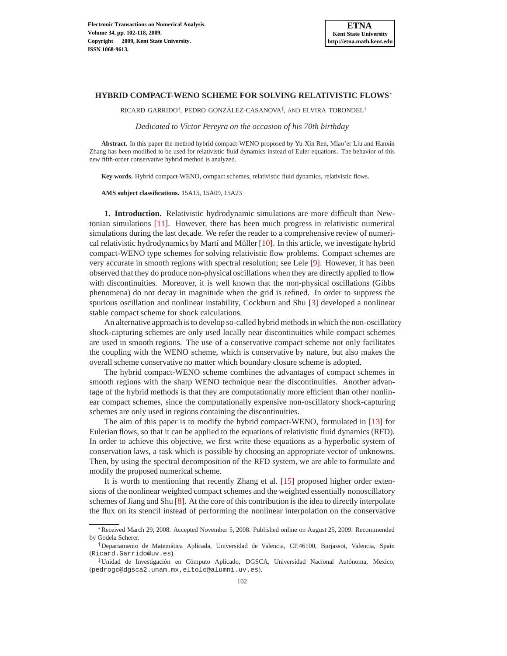$\rm RICARD$   $\rm GARRIDO^{\dagger},$   $\rm PEDRO$   $\rm GONZ\'{A}LEZ\mbox{-}CASANOVA^{\ddagger},$   $\rm AND$   $\rm ELVIRA$   $\rm TORONDEL^{\dagger}$ 

*Dedicated to V´ıctor Pereyra on the occasion of his 70th birthday*

**Abstract.** In this paper the method hybrid compact-WENO proposed by Yu-Xin Ren, Miao'er Liu and Hanxin Zhang has been modified to be used for relativistic fluid dynamics instead of Euler equations. The behavior of this new fifth-order conservative hybrid method is analyzed.

**Key words.** Hybrid compact-WENO, compact schemes, relativistic fluid dynamics, relativistic flows.

**AMS subject classifications.** 15A15, 15A09, 15A23

**1. Introduction.** Relativistic hydrodynamic simulations are more difficult than Newtonian simulations [\[11\]](#page-16-0). However, there has been much progress in relativistic numerical simulations during the last decade. We refer the reader to a comprehensive review of numeri-cal relativistic hydrodynamics by Martí and Müller [\[10](#page-16-1)]. In this article, we investigate hybrid compact-WENO type schemes for solving relativistic flow problems. Compact schemes are very accurate in smooth regions with spectral resolution; see Lele [\[9](#page-16-2)]. However, it has been observed that they do produce non-physical oscillations when they are directly applied to flow with discontinuities. Moreover, it is well known that the non-physical oscillations (Gibbs phenomena) do not decay in magnitude when the grid is refined. In order to suppress the spurious oscillation and nonlinear instability, Cockburn and Shu [\[3](#page-16-3)] developed a nonlinear stable compact scheme for shock calculations.

An alternative approach is to develop so-called hybrid methods in which the non-oscillatory shock-capturing schemes are only used locally near discontinuities while compact schemes are used in smooth regions. The use of a conservative compact scheme not only facilitates the coupling with the WENO scheme, which is conservative by nature, but also makes the overall scheme conservative no matter which boundary closure scheme is adopted.

The hybrid compact-WENO scheme combines the advantages of compact schemes in smooth regions with the sharp WENO technique near the discontinuities. Another advantage of the hybrid methods is that they are computationally more efficient than other nonlinear compact schemes, since the computationally expensive non-oscillatory shock-capturing schemes are only used in regions containing the discontinuities.

The aim of this paper is to modify the hybrid compact-WENO, formulated in [\[13\]](#page-16-4) for Eulerian flows, so that it can be applied to the equations of relativistic fluid dynamics (RFD). In order to achieve this objective, we first write these equations as a hyperbolic system of conservation laws, a task which is possible by choosing an appropriate vector of unknowns. Then, by using the spectral decomposition of the RFD system, we are able to formulate and modify the proposed numerical scheme.

It is worth to mentioning that recently Zhang et al. [\[15](#page-16-5)] proposed higher order extensions of the nonlinear weighted compact schemes and the weighted essentially nonoscillatory schemes of Jiang and Shu [\[8](#page-16-6)]. At the core of this contribution is the idea to directly interpolate the flux on its stencil instead of performing the nonlinear interpolation on the conservative

<sup>∗</sup>Received March 29, 2008. Accepted November 5, 2008. Published online on August 25, 2009. Recommended by Godela Scherer.

<sup>†</sup>Departamento de Matem´atica Aplicada, Universidad de Valencia, CP.46100, Burjassot, Valencia, Spain (Ricard.Garrido@uv.es).

<sup>&</sup>lt;sup>‡</sup>Unidad de Investigación en Cómputo Aplicado, DGSCA, Universidad Nacional Autónoma, Mexico, (pedrogc@dgsca2.unam.mx,eltolo@alumni.uv.es).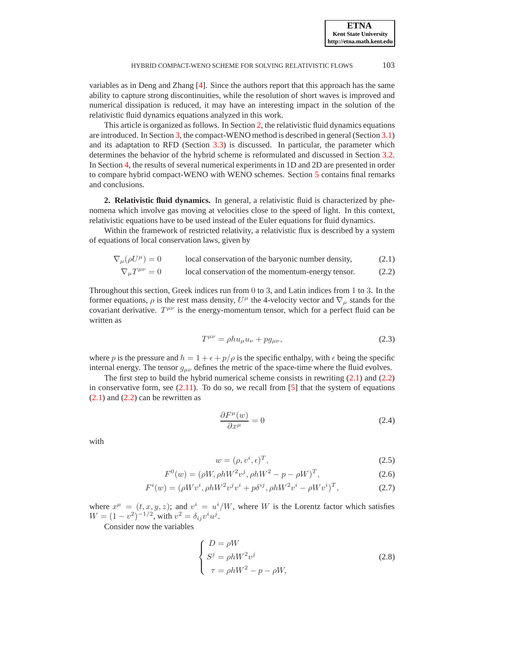variables as in Deng and Zhang [\[4\]](#page-16-7). Since the authors report that this approach has the same ability to capture strong discontinuities, while the resolution of short waves is improved and numerical dissipation is reduced, it may have an interesting impact in the solution of the relativistic fluid dynamics equations analyzed in this work.

This article is organized as follows. In Section [2,](#page-1-0) the relativistic fluid dynamics equations are introduced. In Section [3,](#page-2-0) the compact-WENO method is described in general (Section [3.1\)](#page-3-0) and its adaptation to RFD (Section [3.3\)](#page-6-0) is discussed. In particular, the parameter which determines the behavior of the hybrid scheme is reformulated and discussed in Section [3.2.](#page-3-1) In Section [4,](#page-8-0) the results of several numerical experiments in 1D and 2D are presented in order to compare hybrid compact-WENO with WENO schemes. Section [5](#page-15-0) contains final remarks and conclusions.

<span id="page-1-0"></span>**2. Relativistic fluid dynamics.** In general, a relativistic fluid is characterized by phenomena which involve gas moving at velocities close to the speed of light. In this context, relativistic equations have to be used instead of the Euler equations for fluid dynamics.

Within the framework of restricted relativity, a relativistic flux is described by a system of equations of local conservation laws, given by

$$
\nabla_{\mu}(\rho U^{\mu}) = 0
$$
 local conservation of the baryonic number density, (2.1)

$$
\nabla_{\mu}T^{\mu\nu} = 0
$$
 local conservation of the momentum-energy tensor. (2.2)

Throughout this section, Greek indices run from 0 to 3, and Latin indices from 1 to 3. In the former equations,  $\rho$  is the rest mass density,  $U^{\mu}$  the 4-velocity vector and  $\nabla_{\mu}$  stands for the covariant derivative.  $T^{\mu\nu}$  is the energy-momentum tensor, which for a perfect fluid can be written as

<span id="page-1-2"></span><span id="page-1-1"></span>
$$
T^{\mu\nu} = \rho h u_{\mu} u_{\nu} + p g_{\mu\nu},\tag{2.3}
$$

where p is the pressure and  $h = 1 + \epsilon + p/\rho$  is the specific enthalpy, with  $\epsilon$  being the specific internal energy. The tensor  $g_{\mu\nu}$  defines the metric of the space-time where the fluid evolves.

The first step to build the hybrid numerical scheme consists in rewriting  $(2.1)$  and  $(2.2)$ in conservative form, see  $(2.11)$ . To do so, we recall from [\[5\]](#page-16-8) that the system of equations  $(2.1)$  and  $(2.2)$  can be rewritten as

$$
\frac{\partial F^{\mu}(w)}{\partial x^{\mu}} = 0 \tag{2.4}
$$

with

$$
w = (\rho, v^i, \epsilon)^T,\tag{2.5}
$$

$$
F^{0}(w) = (\rho W, \rho h W^{2} v^{j}, \rho h W^{2} - p - \rho W)^{T},
$$
\n(2.6)

$$
F^{i}(w) = (\rho W v^{i}, \rho h W^{2} v^{j} v^{i} + p \delta^{ij}, \rho h W^{2} v^{i} - \rho W v^{i})^{T},
$$
\n(2.7)

where  $x^{\mu} = (t, x, y, z)$ ; and  $v^{i} = u^{i}/W$ , where W is the Lorentz factor which satisfies  $W = (1 - v^2)^{-1/2}$ , with  $v^2 = \delta_{ij}v^i u^j$ .

Consider now the variables

$$
\begin{cases}\nD = \rho W \\
S^j = \rho h W^2 v^j \\
\tau = \rho h W^2 - p - \rho W,\n\end{cases}
$$
\n(2.8)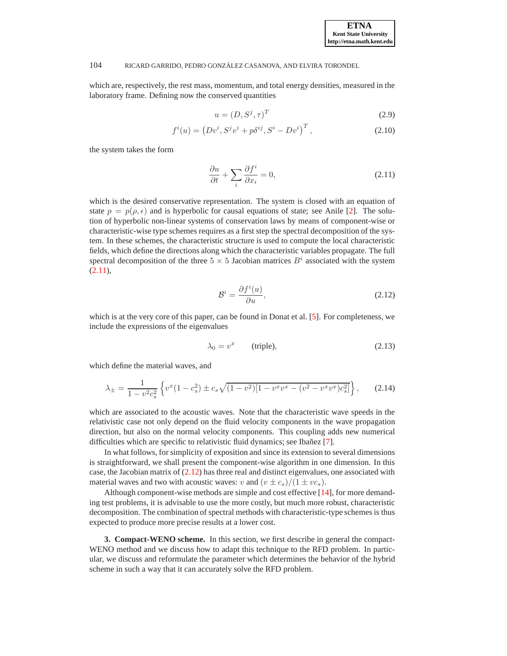which are, respectively, the rest mass, momentum, and total energy densities, measured in the laboratory frame. Defining now the conserved quantities

$$
u = (D, S^j, \tau)^T \tag{2.9}
$$

$$
f^{i}(u) = (Dv^{i}, S^{j}v^{i} + p\delta^{ij}, S^{i} - Dv^{i})^{T},
$$
\n(2.10)

the system takes the form

<span id="page-2-1"></span>
$$
\frac{\partial u}{\partial t} + \sum_{i} \frac{\partial f^{i}}{\partial x_{i}} = 0, \qquad (2.11)
$$

which is the desired conservative representation. The system is closed with an equation of state  $p = p(\rho, \epsilon)$  and is hyperbolic for causal equations of state; see Anile [\[2\]](#page-16-9). The solution of hyperbolic non-linear systems of conservation laws by means of component-wise or characteristic-wise type schemes requires as a first step the spectral decomposition of the system. In these schemes, the characteristic structure is used to compute the local characteristic fields, which define the directions along which the characteristic variables propagate. The full spectral decomposition of the three  $5 \times 5$  Jacobian matrices  $B^i$  associated with the system  $(2.11),$  $(2.11),$ 

<span id="page-2-2"></span>
$$
\mathcal{B}^i = \frac{\partial f^i(u)}{\partial u},\tag{2.12}
$$

which is at the very core of this paper, can be found in Donat et al. [\[5\]](#page-16-8). For completeness, we include the expressions of the eigenvalues

$$
\lambda_0 = v^x \qquad \text{(triple)}, \tag{2.13}
$$

which define the material waves, and

$$
\lambda_{\pm} = \frac{1}{1 - v^2 c_s^2} \left\{ v^x (1 - c_s^2) \pm c_s \sqrt{(1 - v^2) [1 - v^x v^x - (v^2 - v^x v^x) c_s^2]} \right\},\qquad(2.14)
$$

which are associated to the acoustic waves. Note that the characteristic wave speeds in the relativistic case not only depend on the fluid velocity components in the wave propagation direction, but also on the normal velocity components. This coupling adds new numerical difficulties which are specific to relativistic fluid dynamics; see Ibañez [\[7\]](#page-16-10).

In what follows, for simplicity of exposition and since its extension to several dimensions is straightforward, we shall present the component-wise algorithm in one dimension. In this case, the Jacobian matrix of  $(2.12)$  has three real and distinct eigenvalues, one associated with material waves and two with acoustic waves: v and  $(v \pm c_s)/(1 \pm v c_s)$ .

Although component-wise methods are simple and cost effective [\[14\]](#page-16-11), for more demanding test problems, it is advisable to use the more costly, but much more robust, characteristic decomposition. The combination of spectral methods with characteristic-type schemes is thus expected to produce more precise results at a lower cost.

<span id="page-2-0"></span>**3. Compact-WENO scheme.** In this section, we first describe in general the compact-WENO method and we discuss how to adapt this technique to the RFD problem. In particular, we discuss and reformulate the parameter which determines the behavior of the hybrid scheme in such a way that it can accurately solve the RFD problem.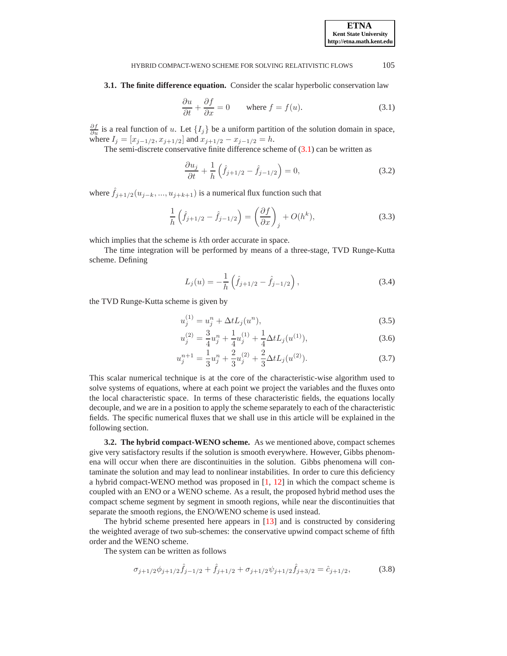**ETNA Kent State University** 

# HYBRID COMPACT-WENO SCHEME FOR SOLVING RELATIVISTIC FLOWS 105

<span id="page-3-0"></span>**3.1. The finite difference equation.** Consider the scalar hyperbolic conservation law

<span id="page-3-2"></span>
$$
\frac{\partial u}{\partial t} + \frac{\partial f}{\partial x} = 0 \quad \text{where } f = f(u). \tag{3.1}
$$

 $\frac{\partial f}{\partial u}$  is a real function of u. Let  $\{I_j\}$  be a uniform partition of the solution domain in space, where  $I_j = [x_{j-1/2}, x_{j+1/2}]$  and  $x_{j+1/2} - x_{j-1/2} = h$ .

The semi-discrete conservative finite difference scheme of  $(3.1)$  can be written as

$$
\frac{\partial u_j}{\partial t} + \frac{1}{h} \left( \hat{f}_{j+1/2} - \hat{f}_{j-1/2} \right) = 0, \tag{3.2}
$$

where  $\hat{f}_{i+1/2}(u_{i-k},...,u_{i+k+1})$  is a numerical flux function such that

<span id="page-3-4"></span>
$$
\frac{1}{h}\left(\hat{f}_{j+1/2} - \hat{f}_{j-1/2}\right) = \left(\frac{\partial f}{\partial x}\right)_j + O(h^k),\tag{3.3}
$$

which implies that the scheme is kth order accurate in space.

The time integration will be performed by means of a three-stage, TVD Runge-Kutta scheme. Defining

$$
L_j(u) = -\frac{1}{h} \left( \hat{f}_{j+1/2} - \hat{f}_{j-1/2} \right), \tag{3.4}
$$

the TVD Runge-Kutta scheme is given by

$$
u_j^{(1)} = u_j^n + \Delta t L_j(u^n), \tag{3.5}
$$

$$
u_j^{(2)} = \frac{3}{4}u_j^n + \frac{1}{4}u_j^{(1)} + \frac{1}{4}\Delta t L_j(u^{(1)}),
$$
\n(3.6)

$$
u_j^{n+1} = \frac{1}{3}u_j^n + \frac{2}{3}u_j^{(2)} + \frac{2}{3}\Delta t L_j(u^{(2)}).
$$
 (3.7)

This scalar numerical technique is at the core of the characteristic-wise algorithm used to solve systems of equations, where at each point we project the variables and the fluxes onto the local characteristic space. In terms of these characteristic fields, the equations locally decouple, and we are in a position to apply the scheme separately to each of the characteristic fields. The specific numerical fluxes that we shall use in this article will be explained in the following section.

<span id="page-3-1"></span>**3.2. The hybrid compact-WENO scheme.** As we mentioned above, compact schemes give very satisfactory results if the solution is smooth everywhere. However, Gibbs phenomena will occur when there are discontinuities in the solution. Gibbs phenomena will contaminate the solution and may lead to nonlinear instabilities. In order to cure this deficiency a hybrid compact-WENO method was proposed in [\[1,](#page-16-12) [12\]](#page-16-13) in which the compact scheme is coupled with an ENO or a WENO scheme. As a result, the proposed hybrid method uses the compact scheme segment by segment in smooth regions, while near the discontinuities that separate the smooth regions, the ENO/WENO scheme is used instead.

The hybrid scheme presented here appears in [\[13\]](#page-16-4) and is constructed by considering the weighted average of two sub-schemes: the conservative upwind compact scheme of fifth order and the WENO scheme.

The system can be written as follows

<span id="page-3-3"></span>
$$
\sigma_{j+1/2}\phi_{j+1/2}\hat{f}_{j-1/2} + \hat{f}_{j+1/2} + \sigma_{j+1/2}\psi_{j+1/2}\hat{f}_{j+3/2} = \hat{c}_{j+1/2},\tag{3.8}
$$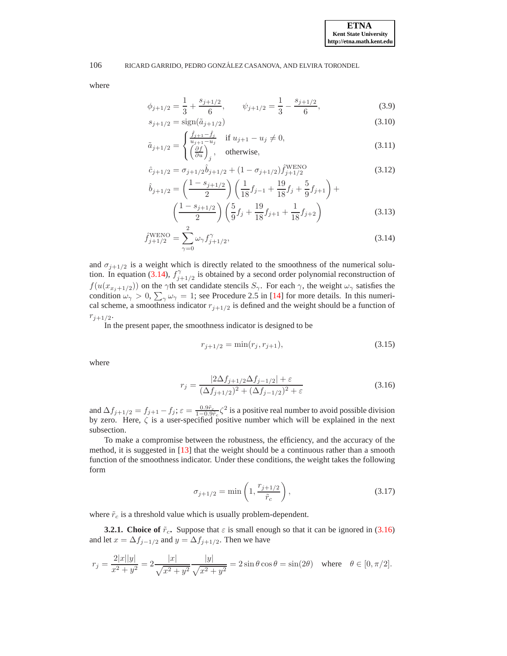where

$$
\phi_{j+1/2} = \frac{1}{3} + \frac{s_{j+1/2}}{6}, \qquad \psi_{j+1/2} = \frac{1}{3} - \frac{s_{j+1/2}}{6}, \tag{3.9}
$$

$$
s_{j+1/2} = \text{sign}(\tilde{a}_{j+1/2})\tag{3.10}
$$

$$
\tilde{a}_{j+1/2} = \begin{cases}\n\frac{\hat{f}_{j+1} - \hat{f}_j}{u_{j+1} - u_j} & \text{if } u_{j+1} - u_j \neq 0, \\
\left(\frac{\partial f}{\partial u}\right)_j, & \text{otherwise,} \n\end{cases}
$$
\n(3.11)

$$
\hat{c}_{j+1/2} = \sigma_{j+1/2} \hat{b}_{j+1/2} + (1 - \sigma_{j+1/2}) \hat{f}_{j+1/2}^{\text{WENO}} \tag{3.12}
$$

<span id="page-4-3"></span>
$$
\hat{b}_{j+1/2} = \left(\frac{1 - s_{j+1/2}}{2}\right) \left(\frac{1}{18}f_{j-1} + \frac{19}{18}f_j + \frac{5}{9}f_{j+1}\right) + \left(\frac{1 - s_{j+1/2}}{2}\right) \left(\frac{5}{9}f_j + \frac{19}{18}f_{j+1} + \frac{1}{18}f_{j+2}\right)
$$
\n(3.13)

$$
\hat{f}_{j+1/2}^{\text{WENO}} = \sum_{\gamma=0}^{2} \omega_{\gamma} f_{j+1/2}^{\gamma},\tag{3.14}
$$

and  $\sigma_{j+1/2}$  is a weight which is directly related to the smoothness of the numerical solu-tion. In equation [\(3.14\)](#page-4-0),  $f_i^{\gamma}$  $\gamma_{j+1/2}$  is obtained by a second order polynomial reconstruction of  $f(u(x_{x_j+1/2}))$  on the  $\gamma$ th set candidate stencils  $S_\gamma$ . For each  $\gamma$ , the weight  $\omega_\gamma$  satisfies the condition  $\omega_{\gamma} > 0$ ,  $\sum_{\gamma} \omega_{\gamma} = 1$ ; see Procedure 2.5 in [\[14](#page-16-11)] for more details. In this numerical scheme, a smoothness indicator  $r_{i+1/2}$  is defined and the weight should be a function of  $r_{j+1/2}$ .

In the present paper, the smoothness indicator is designed to be

<span id="page-4-0"></span>
$$
r_{j+1/2} = \min(r_j, r_{j+1}),\tag{3.15}
$$

where

<span id="page-4-1"></span>
$$
r_j = \frac{|2\Delta f_{j+1/2}\Delta f_{j-1/2}| + \varepsilon}{(\Delta f_{j+1/2})^2 + (\Delta f_{j-1/2})^2 + \varepsilon}
$$
(3.16)

and  $\Delta f_{j+1/2} = f_{j+1} - f_j$ ;  $\varepsilon = \frac{0.9\tilde{r}_c}{1 - 0.9\tilde{r}_c} \zeta^2$  is a positive real number to avoid possible division by zero. Here, ζ is a user-specified positive number which will be explained in the next subsection.

To make a compromise between the robustness, the efficiency, and the accuracy of the method, it is suggested in [\[13](#page-16-4)] that the weight should be a continuous rather than a smooth function of the smoothness indicator. Under these conditions, the weight takes the following form

<span id="page-4-2"></span>
$$
\sigma_{j+1/2} = \min\left(1, \frac{r_{j+1/2}}{\tilde{r}_c}\right),\tag{3.17}
$$

where  $\tilde{r}_c$  is a threshold value which is usually problem-dependent.

**3.2.1. Choice of**  $\tilde{r}_c$ . Suppose that  $\varepsilon$  is small enough so that it can be ignored in [\(3.16\)](#page-4-1) and let  $x = \Delta f_{j-1/2}$  and  $y = \Delta f_{j+1/2}$ . Then we have

$$
r_j = \frac{2|x||y|}{x^2 + y^2} = 2\frac{|x|}{\sqrt{x^2 + y^2}} \frac{|y|}{\sqrt{x^2 + y^2}} = 2\sin\theta\cos\theta = \sin(2\theta) \quad \text{where} \quad \theta \in [0, \pi/2].
$$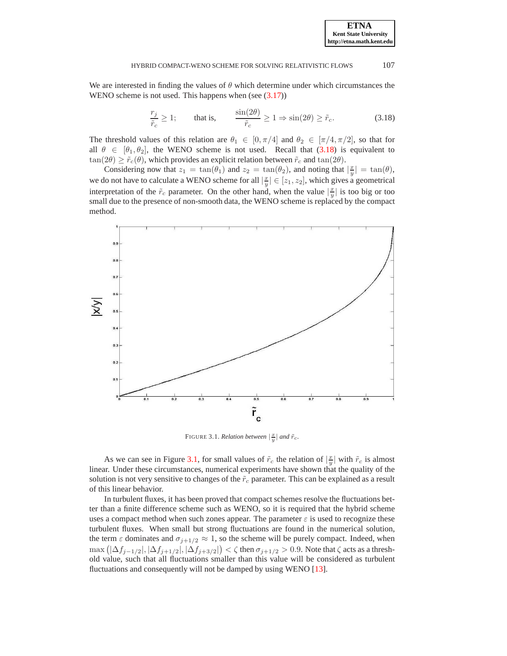We are interested in finding the values of  $\theta$  which determine under which circumstances the WENO scheme is not used. This happens when (see  $(3.17)$ )

<span id="page-5-0"></span>
$$
\frac{r_j}{\tilde{r}_c} \ge 1; \qquad \text{that is,} \qquad \frac{\sin(2\theta)}{\tilde{r}_c} \ge 1 \Rightarrow \sin(2\theta) \ge \tilde{r}_c. \tag{3.18}
$$

The threshold values of this relation are  $\theta_1 \in [0, \pi/4]$  and  $\theta_2 \in [\pi/4, \pi/2]$ , so that for all  $\theta \in [\theta_1, \theta_2]$ , the WENO scheme is not used. Recall that [\(3.18\)](#page-5-0) is equivalent to  $\tan(2\theta) \geq \tilde{r}_c(\theta)$ , which provides an explicit relation between  $\tilde{r}_c$  and  $\tan(2\theta)$ .

Considering now that  $z_1 = \tan(\theta_1)$  and  $z_2 = \tan(\theta_2)$ , and noting that  $|\frac{x}{y}| = \tan(\theta)$ , we do not have to calculate a WENO scheme for all  $|\frac{x}{y}| \in [z_1, z_2]$ , which gives a geometrical interpretation of the  $\tilde{r}_c$  parameter. On the other hand, when the value  $\left|\frac{x}{y}\right|$  is too big or too small due to the presence of non-smooth data, the WENO scheme is replaced by the compact method.



<span id="page-5-1"></span>FIGURE 3.1. *Relation between*  $\left|\frac{x}{y}\right|$  *and*  $\tilde{r}_c$ *.* 

As we can see in Figure [3.1,](#page-5-1) for small values of  $\tilde{r}_c$  the relation of  $\left|\frac{x}{y}\right|$  with  $\tilde{r}_c$  is almost linear. Under these circumstances, numerical experiments have shown that the quality of the solution is not very sensitive to changes of the  $\tilde{r}_c$  parameter. This can be explained as a result of this linear behavior.

In turbulent fluxes, it has been proved that compact schemes resolve the fluctuations better than a finite difference scheme such as WENO, so it is required that the hybrid scheme uses a compact method when such zones appear. The parameter  $\varepsilon$  is used to recognize these turbulent fluxes. When small but strong fluctuations are found in the numerical solution, the term  $\varepsilon$  dominates and  $\sigma_{i+1/2} \approx 1$ , so the scheme will be purely compact. Indeed, when  $\max\left(|\Delta f_{j-1/2}|,|\Delta f_{j+1/2}|,|\Delta f_{j+3/2}|\right)<\zeta$  then  $\sigma_{j+1/2}>0.9$ . Note that  $\zeta$  acts as a threshold value, such that all fluctuations smaller than this value will be considered as turbulent fluctuations and consequently will not be damped by using WENO [\[13](#page-16-4)].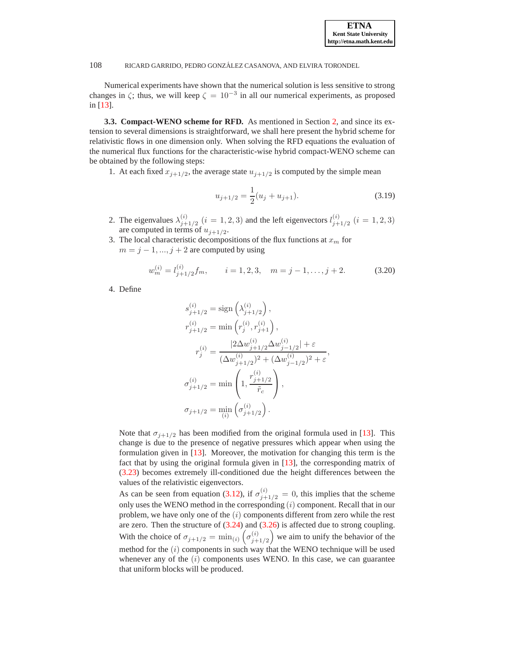Numerical experiments have shown that the numerical solution is less sensitive to strong changes in  $\zeta$ ; thus, we will keep  $\zeta = 10^{-3}$  in all our numerical experiments, as proposed in [\[13\]](#page-16-4).

<span id="page-6-0"></span>**3.3. Compact-WENO scheme for RFD.** As mentioned in Section [2,](#page-1-0) and since its extension to several dimensions is straightforward, we shall here present the hybrid scheme for relativistic flows in one dimension only. When solving the RFD equations the evaluation of the numerical flux functions for the characteristic-wise hybrid compact-WENO scheme can be obtained by the following steps:

1. At each fixed  $x_{j+1/2}$ , the average state  $u_{j+1/2}$  is computed by the simple mean

$$
u_{j+1/2} = \frac{1}{2}(u_j + u_{j+1}).
$$
\n(3.19)

- 2. The eigenvalues  $\lambda_{i+1}^{(i)}$  $j_{j+1/2}^{(i)}$   $(i = 1, 2, 3)$  and the left eigenvectors  $l_{j+1/2}^{(i)}$  $j+1/2$   $(i = 1, 2, 3)$ are computed in terms of  $u_{j+1/2}$ .
- 3. The local characteristic decompositions of the flux functions at  $x_m$  for  $m = j - 1, ..., j + 2$  are computed by using

$$
w_m^{(i)} = l_{j+1/2}^{(i)} f_m, \qquad i = 1, 2, 3, \quad m = j - 1, \dots, j + 2. \tag{3.20}
$$

4. Define

$$
s_{j+1/2}^{(i)} = \text{sign}\left(\lambda_{j+1/2}^{(i)}\right),
$$
  
\n
$$
r_{j+1/2}^{(i)} = \min\left(r_j^{(i)}, r_{j+1}^{(i)}\right),
$$
  
\n
$$
r_j^{(i)} = \frac{|2\Delta w_{j+1/2}^{(i)}\Delta w_{j-1/2}^{(i)}| + \varepsilon}{(\Delta w_{j+1/2}^{(i)})^2 + (\Delta w_{j-1/2}^{(i)})^2 + \varepsilon},
$$
  
\n
$$
\sigma_{j+1/2}^{(i)} = \min\left(1, \frac{r_{j+1/2}^{(i)}}{\tilde{r}_c}\right),
$$
  
\n
$$
\sigma_{j+1/2} = \min\left(\sigma_{j+1/2}^{(i)}\right).
$$

Note that  $\sigma_{i+1/2}$  has been modified from the original formula used in [\[13\]](#page-16-4). This change is due to the presence of negative pressures which appear when using the formulation given in [\[13\]](#page-16-4). Moreover, the motivation for changing this term is the fact that by using the original formula given in [\[13\]](#page-16-4), the corresponding matrix of [\(3.23\)](#page-7-0) becomes extremely ill-conditioned due the height differences between the values of the relativistic eigenvectors.

As can be seen from equation [\(3.12\)](#page-4-3), if  $\sigma_{j+1/2}^{(i)} = 0$ , this implies that the scheme only uses the WENO method in the corresponding  $(i)$  component. Recall that in our problem, we have only one of the  $(i)$  components different from zero while the rest are zero. Then the structure of  $(3.24)$  and  $(3.26)$  is affected due to strong coupling. With the choice of  $\sigma_{j+1/2} = \min_{(i)} (\sigma_{j+1}^{(i)})$  $j_{j+1/2}^{(i)}$  we aim to unify the behavior of the method for the  $(i)$  components in such way that the WENO technique will be used whenever any of the  $(i)$  components uses WENO. In this case, we can guarantee that uniform blocks will be produced.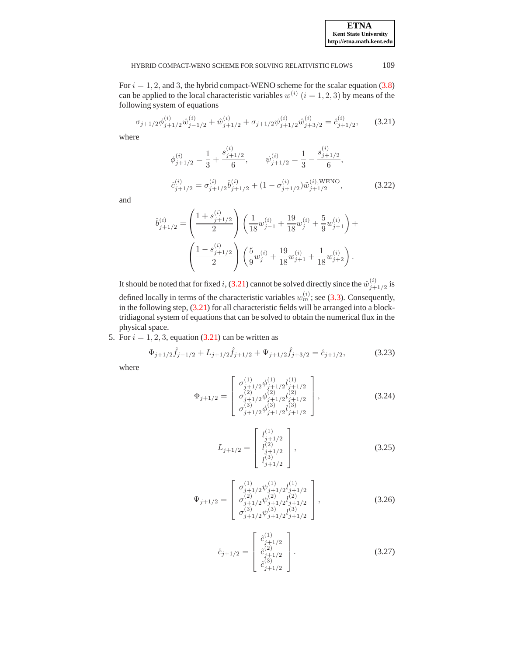For  $i = 1, 2$ , and 3, the hybrid compact-WENO scheme for the scalar equation [\(3.8\)](#page-3-3) can be applied to the local characteristic variables  $w^{(i)}$   $(i = 1, 2, 3)$  by means of the following system of equations

<span id="page-7-3"></span>
$$
\sigma_{j+1/2}\phi_{j+1/2}^{(i)}\hat{w}_{j-1/2}^{(i)} + \hat{w}_{j+1/2}^{(i)} + \sigma_{j+1/2}\psi_{j+1/2}^{(i)}\hat{w}_{j+3/2}^{(i)} = \hat{c}_{j+1/2}^{(i)},\tag{3.21}
$$

where

$$
\phi_{j+1/2}^{(i)} = \frac{1}{3} + \frac{s_{j+1/2}^{(i)}}{6}, \qquad \psi_{j+1/2}^{(i)} = \frac{1}{3} - \frac{s_{j+1/2}^{(i)}}{6},
$$
  

$$
\hat{c}_{j+1/2}^{(i)} = \sigma_{j+1/2}^{(i)} \hat{b}_{j+1/2}^{(i)} + (1 - \sigma_{j+1/2}^{(i)}) \tilde{w}_{j+1/2}^{(i), \text{WENO}},
$$
 (3.22)

and

$$
\hat{b}_{j+1/2}^{(i)} = \left(\frac{1 + s_{j+1/2}^{(i)}}{2}\right) \left(\frac{1}{18}w_{j-1}^{(i)} + \frac{19}{18}w_j^{(i)} + \frac{5}{9}w_{j+1}^{(i)}\right) + \left(\frac{1 - s_{j+1/2}^{(i)}}{2}\right) \left(\frac{5}{9}w_j^{(i)} + \frac{19}{18}w_{j+1}^{(i)} + \frac{1}{18}w_{j+2}^{(i)}\right).
$$

It should be noted that for fixed i, [\(3.21\)](#page-7-3) cannot be solved directly since the  $\hat{w}_{i+}^{(i)}$  $j+1/2$  is defined locally in terms of the characteristic variables  $w_m^{(i)}$ ; see [\(3.3\)](#page-3-4). Consequently, in the following step, [\(3.21\)](#page-7-3) for all characteristic fields will be arranged into a blocktridiagonal system of equations that can be solved to obtain the numerical flux in the physical space.

5. For  $i = 1, 2, 3$ , equation [\(3.21\)](#page-7-3) can be written as

<span id="page-7-0"></span>
$$
\Phi_{j+1/2}\hat{f}_{j-1/2} + L_{j+1/2}\hat{f}_{j+1/2} + \Psi_{j+1/2}\hat{f}_{j+3/2} = \hat{c}_{j+1/2},\tag{3.23}
$$

where

<span id="page-7-1"></span>
$$
\Phi_{j+1/2} = \begin{bmatrix}\n\sigma_{j+1/2}^{(1)} \phi_{j+1/2}^{(1)} l_{j+1/2}^{(1)} \\
\sigma_{j+1/2}^{(2)} \phi_{j+1/2}^{(2)} l_{j+1/2}^{(2)} \\
\sigma_{j+1/2}^{(3)} \phi_{j+1/2}^{(3)} l_{j+1/2}^{(3)}\n\end{bmatrix},
$$
\n(3.24)

$$
L_{j+1/2} = \begin{bmatrix} l_{j+1/2}^{(1)} \\ l_{j+1/2}^{(2)} \\ l_{j+1/2}^{(3)} \end{bmatrix},
$$
\n(3.25)

<span id="page-7-2"></span>
$$
\Psi_{j+1/2} = \begin{bmatrix}\n\sigma_{j+1/2}^{(1)} \psi_{j+1/2}^{(1)} l_{j+1/2}^{(1)} \\
\sigma_{j+1/2}^{(2)} \psi_{j+1/2}^{(2)} l_{j+1/2}^{(2)} \\
\sigma_{j+1/2}^{(3)} \psi_{j+1/2}^{(3)} l_{j+1/2}^{(3)}\n\end{bmatrix},
$$
\n(3.26)

$$
\hat{c}_{j+1/2} = \begin{bmatrix} \hat{c}_{j+1/2}^{(1)} \\ \hat{c}_{j+1/2}^{(2)} \\ \hat{c}_{j+1/2}^{(3)} \end{bmatrix} .
$$
 (3.27)

**ETNA Kent State University http://etna.math.kent.edu**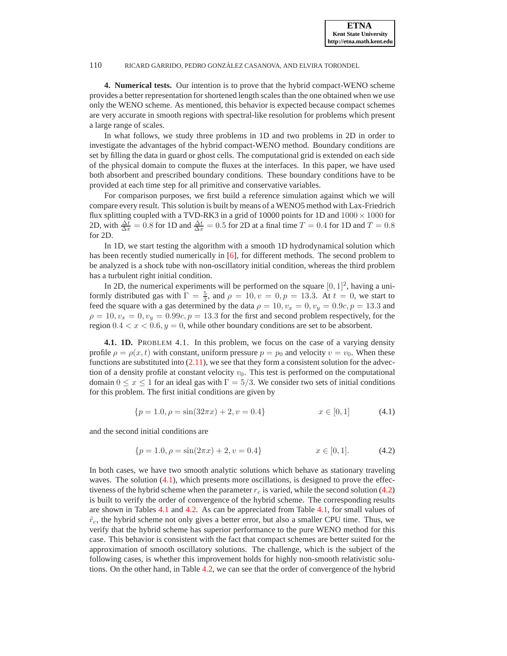<span id="page-8-0"></span>**4. Numerical tests.** Our intention is to prove that the hybrid compact-WENO scheme provides a better representation for shortened length scales than the one obtained when we use only the WENO scheme. As mentioned, this behavior is expected because compact schemes are very accurate in smooth regions with spectral-like resolution for problems which present a large range of scales.

In what follows, we study three problems in 1D and two problems in 2D in order to investigate the advantages of the hybrid compact-WENO method. Boundary conditions are set by filling the data in guard or ghost cells. The computational grid is extended on each side of the physical domain to compute the fluxes at the interfaces. In this paper, we have used both absorbent and prescribed boundary conditions. These boundary conditions have to be provided at each time step for all primitive and conservative variables.

For comparison purposes, we first build a reference simulation against which we will compare every result. This solution is built by means of a WENO5 method with Lax-Friedrich flux splitting coupled with a TVD-RK3 in a grid of 10000 points for 1D and  $1000 \times 1000$  for 2D, with  $\frac{\Delta t}{\Delta x} = 0.8$  for 1D and  $\frac{\Delta t}{\Delta x} = 0.5$  for 2D at a final time  $T = 0.4$  for 1D and  $T = 0.8$ for 2D.

In 1D, we start testing the algorithm with a smooth 1D hydrodynamical solution which has been recently studied numerically in [\[6\]](#page-16-14), for different methods. The second problem to be analyzed is a shock tube with non-oscillatory initial condition, whereas the third problem has a turbulent right initial condition.

In 2D, the numerical experiments will be performed on the square  $[0, 1]^2$ , having a uniformly distributed gas with  $\Gamma = \frac{5}{3}$ , and  $\rho = 10$ ,  $v = 0$ ,  $p = 13.3$ . At  $t = 0$ , we start to feed the square with a gas determined by the data  $\rho = 10$ ,  $v_x = 0$ ,  $v_y = 0.9c$ ,  $p = 13.3$  and  $\rho = 10, v_x = 0, v_y = 0.99c, p = 13.3$  for the first and second problem respectively, for the region  $0.4 < x < 0.6$ ,  $y = 0$ , while other boundary conditions are set to be absorbent.

**4.1. 1D.** PROBLEM 4.1. In this problem, we focus on the case of a varying density profile  $\rho = \rho(x, t)$  with constant, uniform pressure  $p = p_0$  and velocity  $v = v_0$ . When these functions are substituted into  $(2.11)$ , we see that they form a consistent solution for the advection of a density profile at constant velocity  $v_0$ . This test is performed on the computational domain  $0 \le x \le 1$  for an ideal gas with  $\Gamma = 5/3$ . We consider two sets of initial conditions for this problem. The first initial conditions are given by

<span id="page-8-1"></span>
$$
\{p = 1.0, \rho = \sin(32\pi x) + 2, v = 0.4\}
$$
  $x \in [0, 1]$  (4.1)

and the second initial conditions are

<span id="page-8-2"></span>
$$
\{p = 1.0, \rho = \sin(2\pi x) + 2, v = 0.4\}
$$
  $x \in [0, 1].$  (4.2)

In both cases, we have two smooth analytic solutions which behave as stationary traveling waves. The solution  $(4.1)$ , which presents more oscillations, is designed to prove the effectiveness of the hybrid scheme when the parameter  $r_c$  is varied, while the second solution [\(4.2\)](#page-8-2) is built to verify the order of convergence of the hybrid scheme. The corresponding results are shown in Tables [4.1](#page-9-0) and [4.2.](#page-9-1) As can be appreciated from Table [4.1,](#page-9-0) for small values of  $\tilde{r}_c$ , the hybrid scheme not only gives a better error, but also a smaller CPU time. Thus, we verify that the hybrid scheme has superior performance to the pure WENO method for this case. This behavior is consistent with the fact that compact schemes are better suited for the approximation of smooth oscillatory solutions. The challenge, which is the subject of the following cases, is whether this improvement holds for highly non-smooth relativistic solutions. On the other hand, in Table [4.2,](#page-9-1) we can see that the order of convergence of the hybrid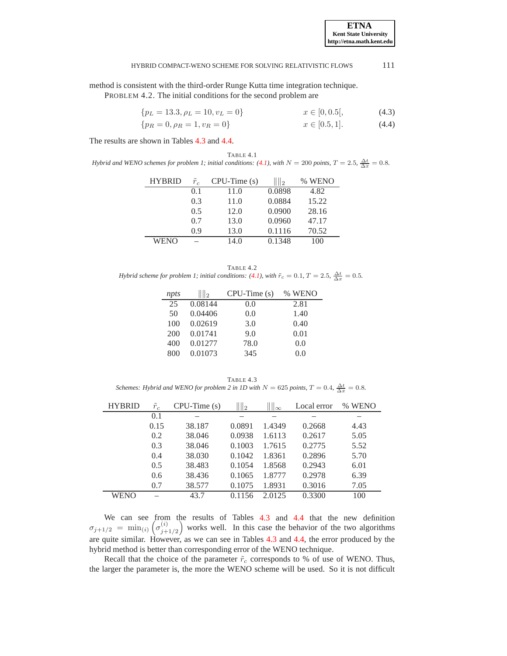method is consistent with the third-order Runge Kutta time integration technique.

PROBLEM 4.2. The initial conditions for the second problem are

$$
\{p_L = 13.3, \rho_L = 10, v_L = 0\} \qquad x \in [0, 0.5], \tag{4.3}
$$

$$
\{p_R = 0, \rho_R = 1, v_R = 0\} \qquad x \in [0.5, 1]. \tag{4.4}
$$

The results are shown in Tables [4.3](#page-9-2) and [4.4.](#page-10-0)

<span id="page-9-0"></span>TABLE 4.1 *Hybrid and WENO schemes for problem 1; initial conditions:* [\(4.1\)](#page-8-1), with  $N = 200$  points,  $T = 2.5$ ,  $\frac{\Delta t}{\Delta x} = 0.8$ .

| <b>HYBRID</b> | $\tilde{r}_c$ | $CPU-Time(s)$ | $\mathbb{I}_2$ | % WENO |
|---------------|---------------|---------------|----------------|--------|
|               | 0.1           | 11.0          | 0.0898         | 4.82   |
|               | 0.3           | 11.0          | 0.0884         | 15.22  |
|               | 0.5           | 12.0          | 0.0900         | 28.16  |
|               | 0.7           | 13.0          | 0.0960         | 47.17  |
|               | 0.9           | 13.0          | 0.1116         | 70.52  |
| WENO          |               | 14.0          | 0.1348         | 100    |

<span id="page-9-1"></span>TABLE 4.2 *Hybrid scheme for problem 1; initial conditions:* [\(4.1\)](#page-8-1), with  $\tilde{r}_c = 0.1$ ,  $T = 2.5$ ,  $\frac{\Delta t}{\Delta x} = 0.5$ .

| npts | $\mathbb{I}_2$ | $CPU-Time(s)$ | % WENO |
|------|----------------|---------------|--------|
| 25   | 0.08144        | 0.0           | 2.81   |
| 50   | 0.04406        | 0.0           | 1.40   |
| 100  | 0.02619        | 3.0           | 0.40   |
| 200  | 0.01741        | 9.0           | 0.01   |
| 400  | 0.01277        | 78.0          | 0.0    |
| 800  | 0.01073        | 345           | 0.0    |
|      |                |               |        |

<span id="page-9-2"></span>TABLE 4.3 *Schemes: Hybrid and WENO for problem 2 in 1D with*  $N = 625$  *points,*  $T = 0.4$ ,  $\frac{\Delta t}{\Delta x} = 0.8$ .

| <b>HYBRID</b> | $\tilde{r}_c$ | $CPU-Time(s)$ | $\  \ _2$ | $\  \infty$ | Local error | % WENO |
|---------------|---------------|---------------|-----------|-------------|-------------|--------|
|               | 0.1           |               |           |             |             |        |
|               | 0.15          | 38.187        | 0.0891    | 1.4349      | 0.2668      | 4.43   |
|               | 0.2           | 38.046        | 0.0938    | 1.6113      | 0.2617      | 5.05   |
|               | 0.3           | 38.046        | 0.1003    | 1.7615      | 0.2775      | 5.52   |
|               | 0.4           | 38.030        | 0.1042    | 1.8361      | 0.2896      | 5.70   |
|               | 0.5           | 38.483        | 0.1054    | 1.8568      | 0.2943      | 6.01   |
|               | 0.6           | 38.436        | 0.1065    | 1.8777      | 0.2978      | 6.39   |
|               | 0.7           | 38.577        | 0.1075    | 1.8931      | 0.3016      | 7.05   |
| WENO          |               | 43.7          | 0.1156    | 2.0125      | 0.3300      | 100    |

We can see from the results of Tables [4.3](#page-9-2) and [4.4](#page-10-0) that the new definition  $\sigma_{j+1/2} = \min_{(i)} (\sigma_{j+1}^{(i)})$  $j+1/2$  works well. In this case the behavior of the two algorithms are quite similar. However, as we can see in Tables [4.3](#page-9-2) and [4.4,](#page-10-0) the error produced by the hybrid method is better than corresponding error of the WENO technique.

Recall that the choice of the parameter  $\tilde{r}_c$  corresponds to % of use of WENO. Thus, the larger the parameter is, the more the WENO scheme will be used. So it is not difficult

**ETNA Kent State University http://etna.math.kent.edu**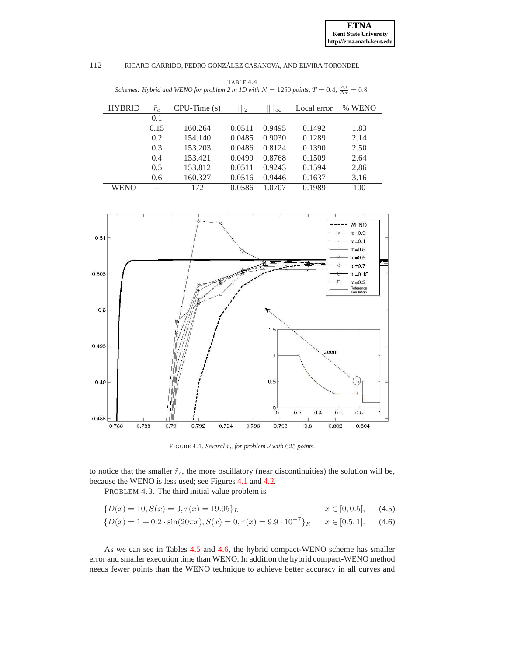<span id="page-10-0"></span>TABLE 4.4 *Schemes: Hybrid and WENO for problem 2 in 1D with*  $N = 1250$  *points*,  $T = 0.4$ ,  $\frac{\Delta t}{\Delta x} = 0.8$ .

| <b>HYBRID</b> | $\tilde{r}_c$ | $CPU-Time(s)$ | $\mathbb{I}_2$ | $  \cdot  _{\infty}$ | Local error | % WENO |
|---------------|---------------|---------------|----------------|----------------------|-------------|--------|
|               | 0.1           |               |                |                      |             |        |
|               | 0.15          | 160.264       | 0.0511         | 0.9495               | 0.1492      | 1.83   |
|               | 0.2           | 154.140       | 0.0485         | 0.9030               | 0.1289      | 2.14   |
|               | 0.3           | 153.203       | 0.0486         | 0.8124               | 0.1390      | 2.50   |
|               | 0.4           | 153.421       | 0.0499         | 0.8768               | 0.1509      | 2.64   |
|               | 0.5           | 153.812       | 0.0511         | 0.9243               | 0.1594      | 2.86   |
|               | 0.6           | 160.327       | 0.0516         | 0.9446               | 0.1637      | 3.16   |
| WENO          |               | 172           | 0.0586         | 1.0707               | 0.1989      | 100    |



<span id="page-10-1"></span>FIGURE 4.1. *Several*  $\tilde{r}_c$  *for problem 2 with* 625 *points*.

to notice that the smaller  $\tilde{r}_c$ , the more oscillatory (near discontinuities) the solution will be, because the WENO is less used; see Figures [4.1](#page-10-1) and [4.2.](#page-11-0)

PROBLEM 4.3. The third initial value problem is

$$
\{D(x) = 10, S(x) = 0, \tau(x) = 19.95\}_L \qquad x \in [0, 0.5], \quad (4.5)
$$
  

$$
\{D(x) = 1 + 0.2 \cdot \sin(20\pi x), S(x) = 0, \tau(x) = 9.9 \cdot 10^{-7}\}_R \qquad x \in [0.5, 1]. \quad (4.6)
$$

As we can see in Tables [4.5](#page-11-1) and [4.6,](#page-11-2) the hybrid compact-WENO scheme has smaller error and smaller execution time than WENO. In addition the hybrid compact-WENO method needs fewer points than the WENO technique to achieve better accuracy in all curves and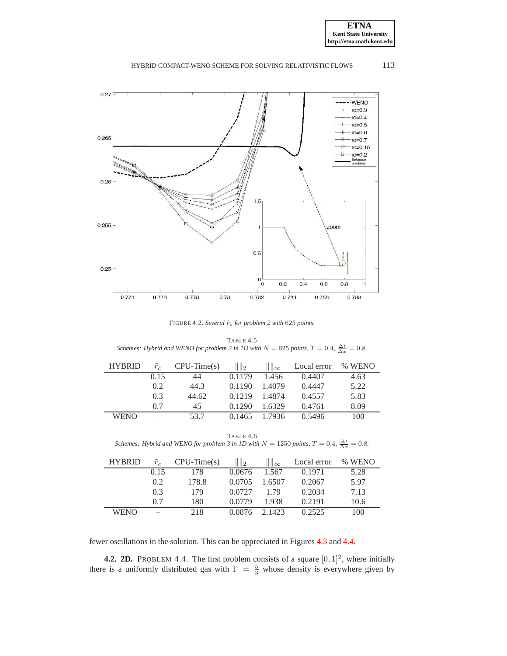**ETNA Kent State University http://etna.math.kent.edu**

#### HYBRID COMPACT-WENO SCHEME FOR SOLVING RELATIVISTIC FLOWS 113



<span id="page-11-0"></span>FIGURE 4.2. *Several*  $\tilde{r}_c$  *for problem 2 with* 625 *points*.

<span id="page-11-1"></span>TABLE 4.5 *Schemes: Hybrid and WENO for problem 3 in 1D with*  $N = 625$  *points,*  $T = 0.4$ ,  $\frac{\Delta t}{\Delta x} = 0.8$ .

| <b>HYBRID</b> | $r_c$ | $CPU-Time(s)$ | $\mathbb{I}_2$ | $\mathop{\mathrm{III}}\nolimits_{\infty}$ | Local error | % WENO |
|---------------|-------|---------------|----------------|-------------------------------------------|-------------|--------|
|               | 0.15  | 44            | 0.1179         | 1.456                                     | 0.4407      | 4.63   |
|               | 0.2   | 44.3          | 0.1190         | 1.4079                                    | 0.4447      | 5.22   |
|               | 0.3   | 44.62         | 0.1219         | 1.4874                                    | 0.4557      | 5.83   |
|               | 0.7   | 45            | 0.1290         | 1.6329                                    | 0.4761      | 8.09   |
| WENO          |       | 53.7          | 0.1465         | 1.7936                                    | 0.5496      | 100    |

TABLE 4.6 *Schemes: Hybrid and WENO for problem 3 in 1D with*  $N = 1250$  *points*,  $T = 0.4$ ,  $\frac{\Delta t}{\Delta x} = 0.8$ .

<span id="page-11-2"></span>

| <b>HYBRID</b> | $\tilde{r}_c$ | $CPU-Time(s)$ | ll 2   | $\parallel \infty$ | Local error | % WENO |
|---------------|---------------|---------------|--------|--------------------|-------------|--------|
|               | 0.15          | 178           | 0.0676 | 1.567              | 0.1971      | 5.28   |
|               | 0.2           | 178.8         | 0.0705 | 1.6507             | 0.2067      | 5.97   |
|               | 0.3           | 179           | 0.0727 | 179                | 0.2034      | 7.13   |
|               | 0.7           | 180           | 0.0779 | 1.938              | 0.2191      | 10.6   |
| WENO          |               | 218           | 0.0876 | 2.1423             | 0.2525      | 100    |

fewer oscillations in the solution. This can be appreciated in Figures [4.3](#page-12-0) and [4.4.](#page-12-1)

**4.2. 2D.** PROBLEM 4.4. The first problem consists of a square  $[0, 1]^2$ , where initially there is a uniformly distributed gas with  $\Gamma = \frac{5}{3}$  whose density is everywhere given by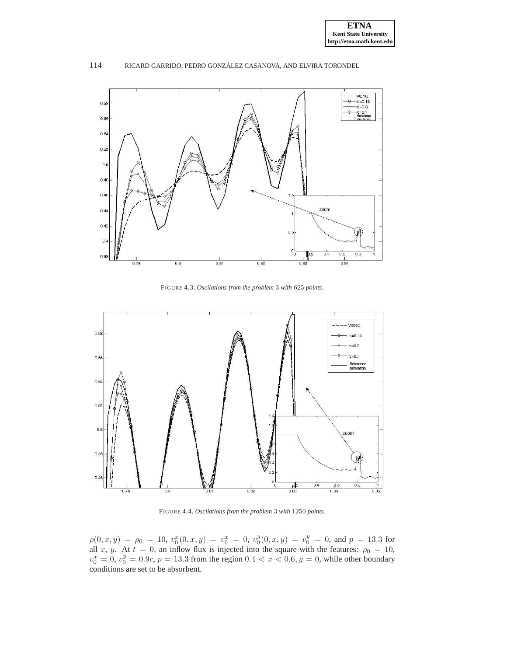

<span id="page-12-0"></span>FIGURE 4.3. *Oscilations from the problem* 3 *with* 625 *points.*



<span id="page-12-1"></span>FIGURE 4.4. *Oscilations from the problem* 3 *with* 1250 *points.*

 $\rho(0, x, y) = \rho_0 = 10, v_0^x(0, x, y) = v_0^x = 0, v_0^y(0, x, y) = v_0^y = 0$ , and  $p = 13.3$  for all x, y. At  $t = 0$ , an inflow flux is injected into the square with the features:  $\rho_0 = 10$ ,  $v_0^x = 0, v_0^y = 0.9c, p = 13.3$  from the region  $0.4 < x < 0.6, y = 0$ , while other boundary conditions are set to be absorbent.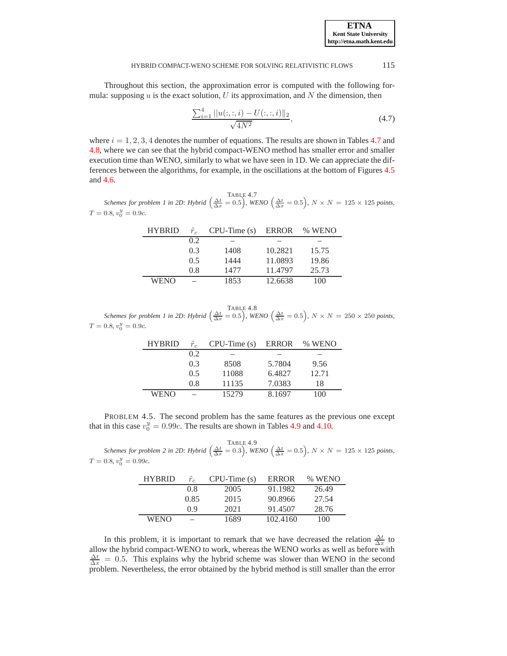Throughout this section, the approximation error is computed with the following formula: supposing  $u$  is the exact solution,  $U$  its approximation, and  $N$  the dimension, then

$$
\frac{\sum_{i=1}^{4}||u(:, :, i) - U(:, :, i)||_2}{\sqrt{4N^2}},
$$
\n(4.7)

where  $i = 1, 2, 3, 4$  denotes the number of equations. The results are shown in Tables [4.7](#page-13-0) and [4.8,](#page-13-1) where we can see that the hybrid compact-WENO method has smaller error and smaller execution time than WENO, similarly to what we have seen in 1D. We can appreciate the differences between the algorithms, for example, in the oscillations at the bottom of Figures [4.5](#page-14-0) and [4.6.](#page-14-1)

<span id="page-13-0"></span> $\frac{\text{TABLE 4.7}}{\Delta x} = 0.5$ , *N* × *N* = 125 × 125 *points,*<br>*Schemes for problem 1 in 2D: Hybrid*  $\left(\frac{\Delta t}{\Delta x} = 0.5\right)$ , *WENO*  $\left(\frac{\Delta t}{\Delta x} = 0.5\right)$ , *N* × *N* = 125 × 125 *points*,  $T = 0.8, v_0^y = 0.9c$ .

| <b>HYBRID</b> | $r_c$ | $CPU-Time(s)$ | ERROR   | % WENO |
|---------------|-------|---------------|---------|--------|
|               | 0.2   |               |         |        |
|               | 0.3   | 1408          | 10.2821 | 15.75  |
|               | 0.5   | 1444          | 11.0893 | 19.86  |
|               | 0.8   | 1477          | 11.4797 | 25.73  |
| WENO          |       | 1853          | 12.6638 | 100    |

<span id="page-13-1"></span> $\frac{\text{TABLE 4.8}}{\Delta x}$   $\frac{\Delta t}{\Delta x} = 0.5$ ,  $WENO\left(\frac{\Delta t}{\Delta x} = 0.5\right)$ ,  $N \times N = 250 \times 250$  points,  $T = 0.8, v_0^y = 0.9c$ .

| <b>HYBRID</b> | $\tilde{r}_c$ | $CPU-Time(s)$ | ERROR  | % WENO |
|---------------|---------------|---------------|--------|--------|
|               | 0.2           |               |        |        |
|               | 0.3           | 8508          | 5.7804 | 9.56   |
|               | 0.5           | 11088         | 6.4827 | 12.71  |
|               | 0.8           | 11135         | 7.0383 | 18     |
| WENO          |               | 15279         | 8.1697 | 100    |

<span id="page-13-3"></span>PROBLEM 4.5. The second problem has the same features as the previous one except that in this case  $v_0^y = 0.99c$ . The results are shown in Tables [4.9](#page-13-2) and [4.10.](#page-14-2)

<span id="page-13-2"></span> $\frac{\text{TABLE 4.9}}{\Delta x}$   $\frac{0}{\Delta x}$  = 0.5),  $N \times N = 125 \times 125$  *points,*  $T = 0.8, v_0^y = 0.99c$ .

| <b>HYBRID</b> | $\tilde{r}_c$ | $CPU-Time(s)$ | <b>ERROR</b> | % WENO |
|---------------|---------------|---------------|--------------|--------|
|               | 08            | 2005          | 91.1982      | 26.49  |
|               | 0.85          | 2015          | 90.8966      | 27.54  |
|               | 09            | 2021          | 91.4507      | 28.76  |
| WENO          |               | 1689          | 102.4160     | 100    |

In this problem, it is important to remark that we have decreased the relation  $\frac{\Delta t}{\Delta x}$  to allow the hybrid compact-WENO to work, whereas the WENO works as well as before with  $\frac{\Delta t}{\Delta x} = 0.5$ . This explains why the hybrid scheme was slower than WENO in the second problem. Nevertheless, the error obtained by the hybrid method is still smaller than the error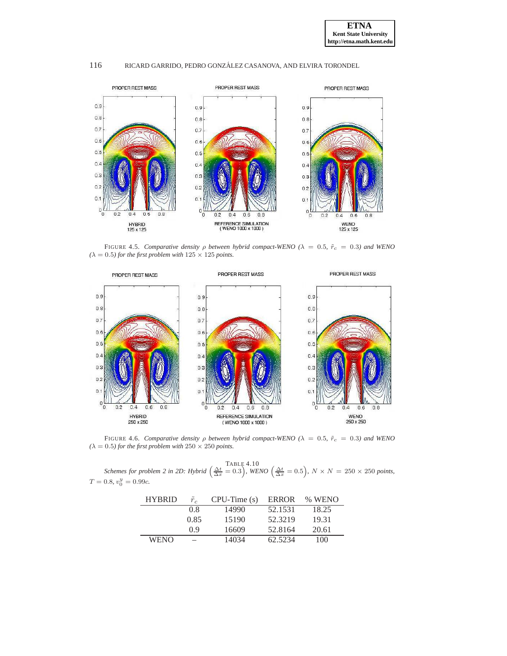

<span id="page-14-0"></span>FIGURE 4.5. *Comparative density*  $\rho$  *between hybrid compact-WENO* ( $\lambda = 0.5$ ,  $\tilde{r}_c = 0.3$ ) and WENO  $(\lambda = 0.5)$  for the first problem with  $125 \times 125$  points.



FIGURE 4.6. *Comparative density*  $\rho$  *between hybrid compact-WENO* ( $\lambda = 0.5$ ,  $\tilde{r}_c = 0.3$ ) and WENO  $(\lambda = 0.5)$  for the first problem with  $250 \times 250$  points.

<span id="page-14-2"></span> $S$ *chemes for problem 2 in 2D: Hybrid*  $\left(\frac{\Delta t}{\Delta x} = 0.3\right)$ , *WENO*  $\left(\frac{\Delta t}{\Delta x} = 0.5\right)$ ,  $N \times N = 250 \times 250$  *points*,  $T = 0.8, v_0^y = 0.99c$ .

<span id="page-14-1"></span>

| <b>HYBRID</b> |                          | $CPU-Time(s)$ | ERROR   | % WENO |
|---------------|--------------------------|---------------|---------|--------|
|               | 0.8                      | 14990         | 52.1531 | 18.25  |
|               | 0.85                     | 15190         | 52.3219 | 19.31  |
|               | 09                       | 16609         | 52.8164 | 20.61  |
| <b>WENO</b>   | $\overline{\phantom{a}}$ | 14034         | 62.5234 | 100    |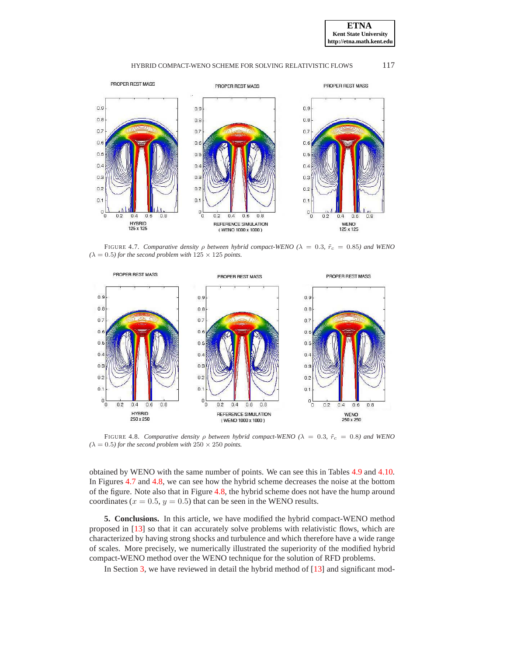



<span id="page-15-1"></span>FIGURE 4.7. *Comparative density*  $\rho$  *between hybrid compact-WENO* ( $\lambda = 0.3$ ,  $\tilde{r}_c = 0.85$ ) and WENO  $(\lambda = 0.5)$  for the second problem with  $125 \times 125$  points.



<span id="page-15-2"></span>FIGURE 4.8. *Comparative density*  $\rho$  *between hybrid compact-WENO* ( $\lambda = 0.3$ ,  $\tilde{r}_c = 0.8$ ) and WENO  $(\lambda = 0.5)$  for the second problem with  $250 \times 250$  points.

obtained by WENO with the same number of points. We can see this in Tables [4.9](#page-13-2) and [4.10.](#page-14-2) In Figures [4.7](#page-15-1) and [4.8,](#page-15-2) we can see how the hybrid scheme decreases the noise at the bottom of the figure. Note also that in Figure [4.8,](#page-15-2) the hybrid scheme does not have the hump around coordinates ( $x = 0.5$ ,  $y = 0.5$ ) that can be seen in the WENO results.

<span id="page-15-0"></span>**5. Conclusions.** In this article, we have modified the hybrid compact-WENO method proposed in [\[13\]](#page-16-4) so that it can accurately solve problems with relativistic flows, which are characterized by having strong shocks and turbulence and which therefore have a wide range of scales. More precisely, we numerically illustrated the superiority of the modified hybrid compact-WENO method over the WENO technique for the solution of RFD problems.

In Section [3,](#page-2-0) we have reviewed in detail the hybrid method of [\[13\]](#page-16-4) and significant mod-